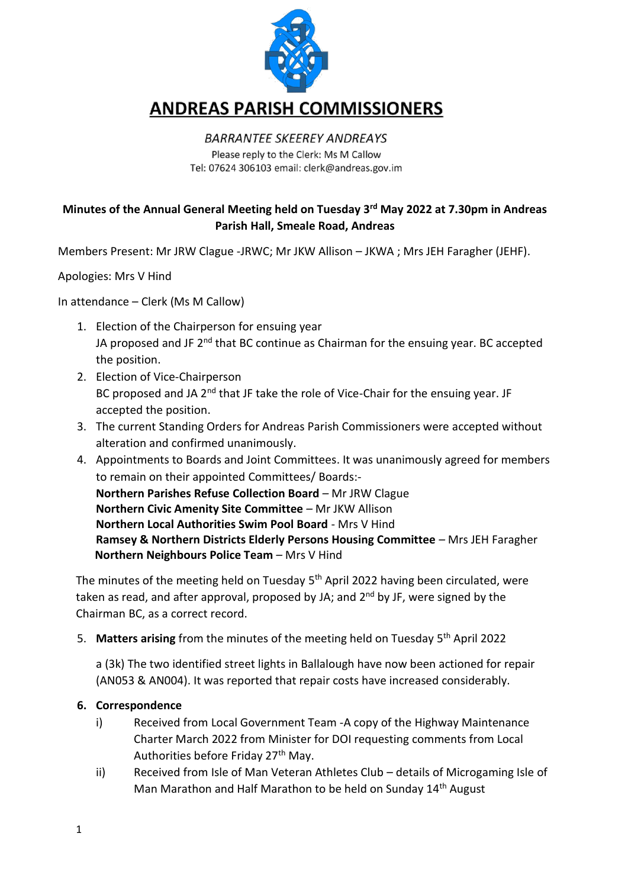

# **ANDREAS PARISH COMMISSIONERS**

#### **BARRANTEE SKEEREY ANDREAYS** Please reply to the Clerk: Ms M Callow Tel: 07624 306103 email: clerk@andreas.gov.im

# **Minutes of the Annual General Meeting held on Tuesday 3 rd May 2022 at 7.30pm in Andreas Parish Hall, Smeale Road, Andreas**

Members Present: Mr JRW Clague -JRWC; Mr JKW Allison – JKWA ; Mrs JEH Faragher (JEHF).

Apologies: Mrs V Hind

In attendance – Clerk (Ms M Callow)

- 1. Election of the Chairperson for ensuing year JA proposed and JF 2<sup>nd</sup> that BC continue as Chairman for the ensuing year. BC accepted the position.
- 2. Election of Vice-Chairperson BC proposed and JA  $2<sup>nd</sup>$  that JF take the role of Vice-Chair for the ensuing year. JF accepted the position.
- 3. The current Standing Orders for Andreas Parish Commissioners were accepted without alteration and confirmed unanimously.
- 4. Appointments to Boards and Joint Committees. It was unanimously agreed for members to remain on their appointed Committees/ Boards:- **Northern Parishes Refuse Collection Board** *–* Mr JRW Clague **Northern Civic Amenity Site Committee** *–* Mr JKW Allison **Northern Local Authorities Swim Pool Board** - Mrs V Hind **Ramsey & Northern Districts Elderly Persons Housing Committee** *–* Mrs JEH Faragher **Northern Neighbours Police Team** *–* Mrs V Hind

The minutes of the meeting held on Tuesday 5<sup>th</sup> April 2022 having been circulated, were taken as read, and after approval, proposed by JA; and  $2<sup>nd</sup>$  by JF, were signed by the Chairman BC, as a correct record.

5. Matters arising from the minutes of the meeting held on Tuesday 5<sup>th</sup> April 2022

a (3k) The two identified street lights in Ballalough have now been actioned for repair (AN053 & AN004). It was reported that repair costs have increased considerably.

### **6. Correspondence**

- i) Received from Local Government Team -A copy of the Highway Maintenance Charter March 2022 from Minister for DOI requesting comments from Local Authorities before Friday 27<sup>th</sup> May.
- ii) Received from Isle of Man Veteran Athletes Club details of Microgaming Isle of Man Marathon and Half Marathon to be held on Sunday 14<sup>th</sup> August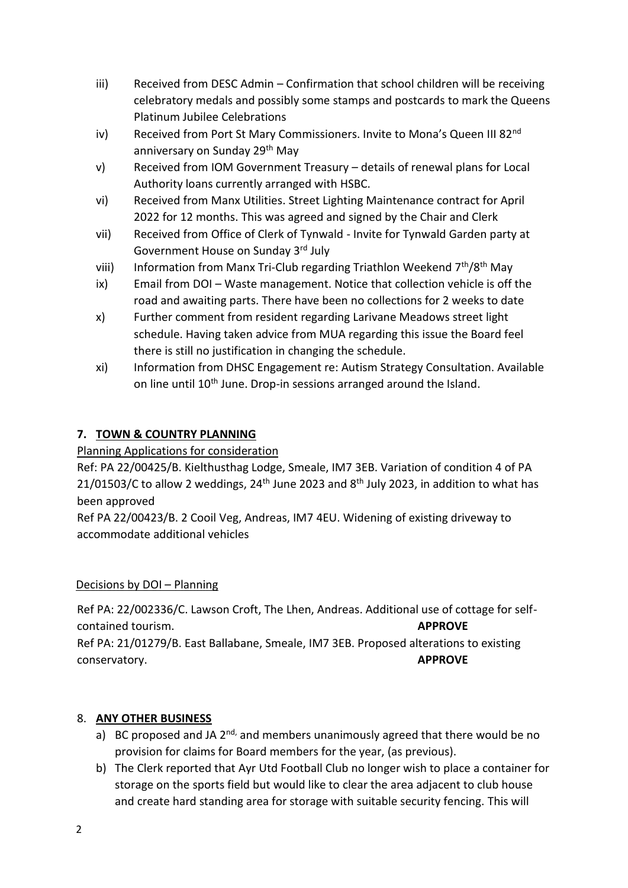- iii) Received from DESC Admin Confirmation that school children will be receiving celebratory medals and possibly some stamps and postcards to mark the Queens Platinum Jubilee Celebrations
- iv) Received from Port St Mary Commissioners. Invite to Mona's Queen III 82<sup>nd</sup> anniversary on Sunday 29<sup>th</sup> May
- v) Received from IOM Government Treasury details of renewal plans for Local Authority loans currently arranged with HSBC.
- vi) Received from Manx Utilities. Street Lighting Maintenance contract for April 2022 for 12 months. This was agreed and signed by the Chair and Clerk
- vii) Received from Office of Clerk of Tynwald Invite for Tynwald Garden party at Government House on Sunday 3rd July
- viii) Information from Manx Tri-Club regarding Triathlon Weekend 7<sup>th</sup>/8<sup>th</sup> May
- ix) Email from DOI Waste management. Notice that collection vehicle is off the road and awaiting parts. There have been no collections for 2 weeks to date
- x) Further comment from resident regarding Larivane Meadows street light schedule. Having taken advice from MUA regarding this issue the Board feel there is still no justification in changing the schedule.
- xi) Information from DHSC Engagement re: Autism Strategy Consultation. Available on line until 10<sup>th</sup> June. Drop-in sessions arranged around the Island.

# **7. TOWN & COUNTRY PLANNING**

# Planning Applications for consideration

Ref: PA 22/00425/B. Kielthusthag Lodge, Smeale, IM7 3EB. Variation of condition 4 of PA 21/01503/C to allow 2 weddings,  $24<sup>th</sup>$  June 2023 and  $8<sup>th</sup>$  July 2023, in addition to what has been approved

Ref PA 22/00423/B. 2 Cooil Veg, Andreas, IM7 4EU. Widening of existing driveway to accommodate additional vehicles

# Decisions by DOI – Planning

Ref PA: 22/002336/C. Lawson Croft, The Lhen, Andreas. Additional use of cottage for selfcontained tourism. **APPROVE** Ref PA: 21/01279/B. East Ballabane, Smeale, IM7 3EB. Proposed alterations to existing conservatory. **APPROVE**

# 8. **ANY OTHER BUSINESS**

- a) BC proposed and JA  $2^{nd}$ , and members unanimously agreed that there would be no provision for claims for Board members for the year, (as previous).
- b) The Clerk reported that Ayr Utd Football Club no longer wish to place a container for storage on the sports field but would like to clear the area adjacent to club house and create hard standing area for storage with suitable security fencing. This will